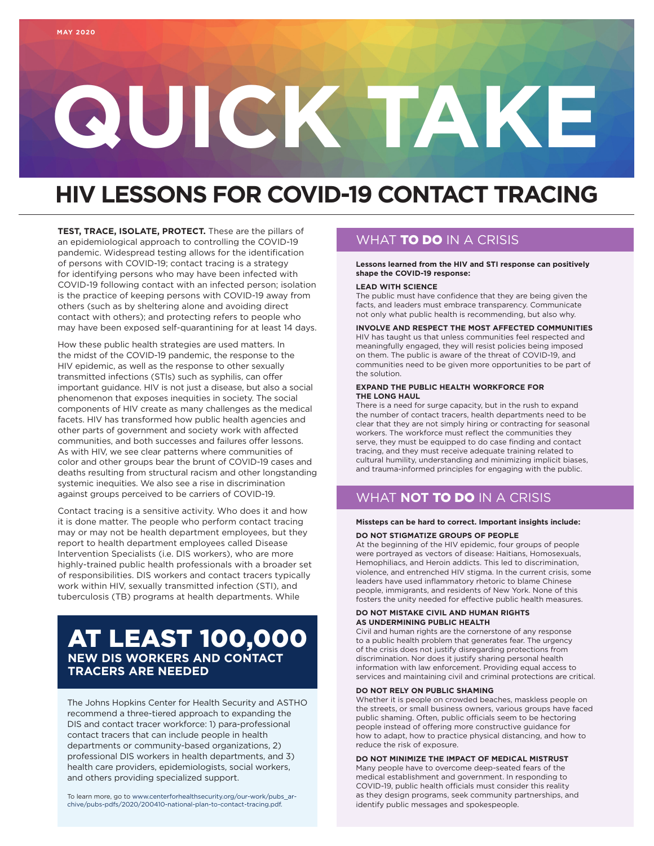# **QUICK TAKE**

# **HIV LESSONS FOR COVID-19 CONTACT TRACING**

**TEST, TRACE, ISOLATE, PROTECT.** These are the pillars of an epidemiological approach to controlling the COVID-19 pandemic. Widespread testing allows for the identification of persons with COVID-19; contact tracing is a strategy for identifying persons who may have been infected with COVID-19 following contact with an infected person; isolation is the practice of keeping persons with COVID-19 away from others (such as by sheltering alone and avoiding direct contact with others); and protecting refers to people who may have been exposed self-quarantining for at least 14 days.

How these public health strategies are used matters. In the midst of the COVID-19 pandemic, the response to the HIV epidemic, as well as the response to other sexually transmitted infections (STIs) such as syphilis, can offer important guidance. HIV is not just a disease, but also a social phenomenon that exposes inequities in society. The social components of HIV create as many challenges as the medical facets. HIV has transformed how public health agencies and other parts of government and society work with affected communities, and both successes and failures offer lessons. As with HIV, we see clear patterns where communities of color and other groups bear the brunt of COVID-19 cases and deaths resulting from structural racism and other longstanding systemic inequities. We also see a rise in discrimination against groups perceived to be carriers of COVID-19.

Contact tracing is a sensitive activity. Who does it and how it is done matter. The people who perform contact tracing may or may not be health department employees, but they report to health department employees called Disease Intervention Specialists (i.e. DIS workers), who are more highly-trained public health professionals with a broader set of responsibilities. DIS workers and contact tracers typically work within HIV, sexually transmitted infection (STI), and tuberculosis (TB) programs at health departments. While

# AT LEAST 100,000 **NEW DIS WORKERS AND CONTACT TRACERS ARE NEEDED**

The Johns Hopkins Center for Health Security and ASTHO recommend a three-tiered approach to expanding the DIS and contact tracer workforce: 1) para-professional contact tracers that can include people in health departments or community-based organizations, 2) professional DIS workers in health departments, and 3) health care providers, epidemiologists, social workers, and others providing specialized support.

To learn more, go to [www.centerforhealthsecurity.org/our-work/pubs\\_ar](http://www.centerforhealthsecurity.org/our-work/pubs_archive/pubs-pdfs/2020/200410-national-plan-to-contact-tracing.pdf)[chive/pubs-pdfs/2020/200410-national-plan-to-contact-tracing.pdf](http://www.centerforhealthsecurity.org/our-work/pubs_archive/pubs-pdfs/2020/200410-national-plan-to-contact-tracing.pdf)[.](https://www.centerforhealthsecurity.org/our-work/pubs_archive/pubs-pdfs/2020/200410-national-plan-to-contact-tracing.pdf.)

# WHAT **TO DO** IN A CRISIS

**Lessons learned from the HIV and STI response can positively shape the COVID-19 response:** 

### **LEAD WITH SCIENCE**

The public must have confidence that they are being given the facts, and leaders must embrace transparency. Communicate not only what public health is recommending, but also why.

**INVOLVE AND RESPECT THE MOST AFFECTED COMMUNITIES** HIV has taught us that unless communities feel respected and meaningfully engaged, they will resist policies being imposed

on them. The public is aware of the threat of COVID-19, and communities need to be given more opportunities to be part of the solution.

### **EXPAND THE PUBLIC HEALTH WORKFORCE FOR THE LONG HAUL**

There is a need for surge capacity, but in the rush to expand the number of contact tracers, health departments need to be clear that they are not simply hiring or contracting for seasonal workers. The workforce must reflect the communities they serve, they must be equipped to do case finding and contact tracing, and they must receive adequate training related to cultural humility, understanding and minimizing implicit biases, and trauma-informed principles for engaging with the public.

# WHAT **NOT** TO DO IN A CRISIS

### **Missteps can be hard to correct. Important insights include:**

### **DO NOT STIGMATIZE GROUPS OF PEOPLE**

At the beginning of the HIV epidemic, four groups of people were portrayed as vectors of disease: Haitians, Homosexuals, Hemophiliacs, and Heroin addicts. This led to discrimination, violence, and entrenched HIV stigma. In the current crisis, some leaders have used inflammatory rhetoric to blame Chinese people, immigrants, and residents of New York. None of this fosters the unity needed for effective public health measures.

### **DO NOT MISTAKE CIVIL AND HUMAN RIGHTS AS UNDERMINING PUBLIC HEALTH**

Civil and human rights are the cornerstone of any response to a public health problem that generates fear. The urgency of the crisis does not justify disregarding protections from discrimination. Nor does it justify sharing personal health information with law enforcement. Providing equal access to services and maintaining civil and criminal protections are critical.

### **DO NOT RELY ON PUBLIC SHAMING**

Whether it is people on crowded beaches, maskless people on the streets, or small business owners, various groups have faced public shaming. Often, public officials seem to be hectoring people instead of offering more constructive guidance for how to adapt, how to practice physical distancing, and how to reduce the risk of exposure.

**DO NOT MINIMIZE THE IMPACT OF MEDICAL MISTRUST** Many people have to overcome deep-seated fears of the medical establishment and government. In responding to COVID-19, public health officials must consider this reality as they design programs, seek community partnerships, and identify public messages and spokespeople.